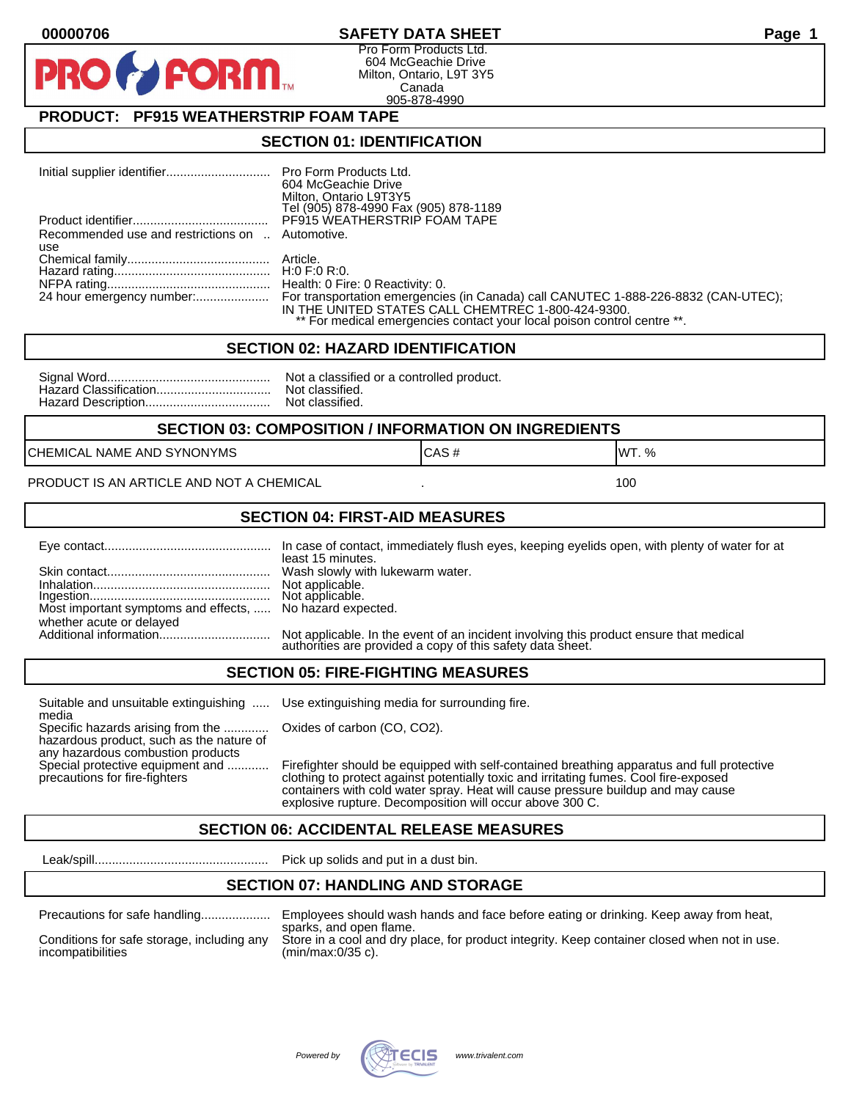#### **00000706 SAFETY DATA SHEET Page 1**

Pro Form Products Ltd. 604 McGeachie Drive Milton, Ontario, L9T 3Y5 Canada 905-878-4990

### **PRODUCT: PF915 WEATHERSTRIP FOAM TAPE**

**FORM** 

#### **SECTION 01: IDENTIFICATION**

|                                                  | 604 McGeachie Drive                                                     |
|--------------------------------------------------|-------------------------------------------------------------------------|
|                                                  | Milton, Ontario L9T3Y5                                                  |
|                                                  | Tel (905) 878-4990 Fax (905) 878-1189                                   |
|                                                  | PF915 WEATHERSTRIP FOAM TAPE                                            |
| Recommended use and restrictions on  Automotive. |                                                                         |
| use                                              |                                                                         |
|                                                  |                                                                         |
|                                                  |                                                                         |
|                                                  |                                                                         |
|                                                  |                                                                         |
|                                                  | IN THE UNITED STATES CALL CHEMTREC 1-800-424-9300.                      |
|                                                  | ** For medical emergencies contact your local poison control centre **. |

#### **SECTION 02: HAZARD IDENTIFICATION**

| Nc |
|----|
| No |
| No |

ot a classified or a controlled product. ot classified. ot classified.

#### **SECTION 03: COMPOSITION / INFORMATION ON INGREDIENTS**

CHEMICAL NAME AND SYNONYMS GAS AND CAS # CAS # WT. %

#### PRODUCT IS AN ARTICLE AND NOT A CHEMICAL **AND THE SET AND A SET ALL ASSAULT** 100

#### **SECTION 04: FIRST-AID MEASURES**

|                                                                                       | least 15 minutes.                                                                                                                                    |
|---------------------------------------------------------------------------------------|------------------------------------------------------------------------------------------------------------------------------------------------------|
|                                                                                       |                                                                                                                                                      |
| Most important symptoms and effects,  No hazard expected.<br>whether acute or delayed |                                                                                                                                                      |
|                                                                                       | Not applicable. In the event of an incident involving this product ensure that medical<br>authorities are provided a copy of this safety data sheet. |

#### **SECTION 05: FIRE-FIGHTING MEASURES**

Suitable and unsuitable extinguishing ..... Use extinguishing media for surrounding fire. media

Specific hazards arising from the ............. Oxides of carbon (CO, CO2). hazardous product, such as the nature of any hazardous combustion products

Special protective equipment and ............ Firefighter should be equipped with self-contained breathing apparatus and full protective<br>precautions for fire-fighters continent clothing to protect against potentially toxic clothing to protect against potentially toxic and irritating fumes. Cool fire-exposed containers with cold water spray. Heat will cause pressure buildup and may cause explosive rupture. Decomposition will occur above 300 C.

### **SECTION 06: ACCIDENTAL RELEASE MEASURES**

Leak/spill.................................................. Pick up solids and put in a dust bin.

#### **SECTION 07: HANDLING AND STORAGE**

| Precautions for safe nandling |  |  |
|-------------------------------|--|--|
|                               |  |  |

incompatibilities (min/max:0/35 c).

Precautions for safe handling.................... Employees should wash hands and face before eating or drinking. Keep away from heat, sparks, and open flame. Conditions for safe storage, including any Store in a cool and dry place, for product integrity. Keep container closed when not in use.

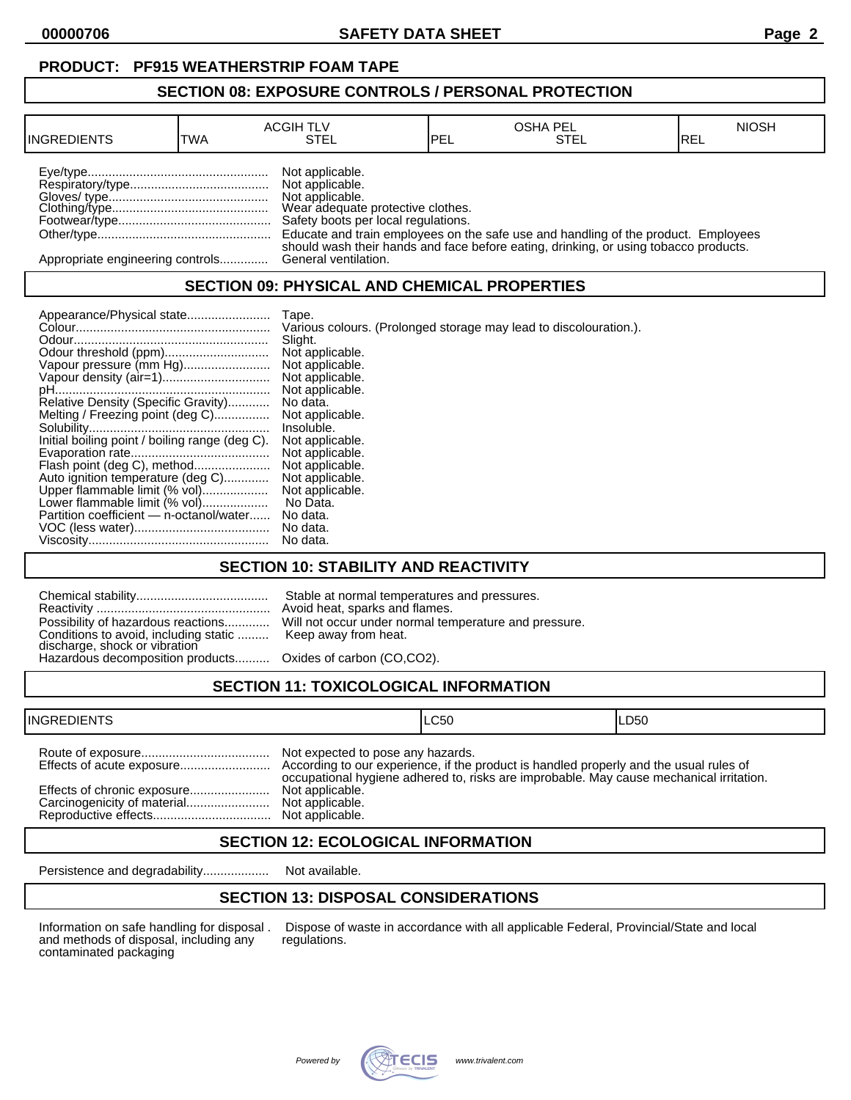**00000706 SAFETY DATA SHEET Page 2**

#### **SECTION 08: EXPOSURE CONTROLS / PERSONAL PROTECTION**

| <b>INGREDIENTS</b>               | TWA | <b>ACGIH TLV</b><br>STEL                                                                                                          | PEL | <b>OSHA PEL</b><br>STEL                                                                                                                                                    | <b>NIOSH</b><br>IREL |
|----------------------------------|-----|-----------------------------------------------------------------------------------------------------------------------------------|-----|----------------------------------------------------------------------------------------------------------------------------------------------------------------------------|----------------------|
|                                  |     | Not applicable.<br>Not applicable.<br>Not applicable.<br>Wear adequate protective clothes.<br>Safety boots per local regulations. |     | Educate and train employees on the safe use and handling of the product. Employees<br>should wash their hands and face before eating, drinking, or using tobacco products. |                      |
| Appropriate engineering controls |     | General ventilation.                                                                                                              |     |                                                                                                                                                                            |                      |

### **SECTION 09: PHYSICAL AND CHEMICAL PROPERTIES**

|                                                | Tape.                                                             |
|------------------------------------------------|-------------------------------------------------------------------|
|                                                | Various colours. (Prolonged storage may lead to discolouration.). |
|                                                | Slight.                                                           |
|                                                | Not applicable.                                                   |
| Vapour pressure (mm Hg)                        | Not applicable.                                                   |
|                                                | Not applicable.                                                   |
|                                                | Not applicable.                                                   |
| Relative Density (Specific Gravity)            | No data.                                                          |
| Melting / Freezing point (deg C)               | Not applicable.                                                   |
|                                                | Insoluble.                                                        |
| Initial boiling point / boiling range (deg C). | Not applicable.                                                   |
|                                                | Not applicable.                                                   |
| Flash point (deg C), method                    | Not applicable.                                                   |
| Auto ignition temperature (deg C)              | Not applicable.                                                   |
| Upper flammable limit (% vol)                  | Not applicable.                                                   |
| Lower flammable limit (% vol)                  | No Data.                                                          |
| Partition coefficient - n-octanol/water        | No data.                                                          |
|                                                | No data.                                                          |
|                                                | No data.                                                          |

### **SECTION 10: STABILITY AND REACTIVITY**

| Conditions to avoid, including static  Keep away from heat.<br>discharge, shock or vibration<br>Hazardous decomposition products Oxides of carbon (CO,CO2). | Stable at normal temperatures and pressures.<br>Avoid heat, sparks and flames.<br>Possibility of hazardous reactions Will not occur under normal temperature and pressure. |
|-------------------------------------------------------------------------------------------------------------------------------------------------------------|----------------------------------------------------------------------------------------------------------------------------------------------------------------------------|
|                                                                                                                                                             |                                                                                                                                                                            |

## **SECTION 11: TOXICOLOGICAL INFORMATION**

| <b>INGREDIENTS</b>          |                                                                         | ILC50                                                                                   | ILD50 |
|-----------------------------|-------------------------------------------------------------------------|-----------------------------------------------------------------------------------------|-------|
| Effects of chronic exposure | Not expected to pose any hazards.<br>Not applicable.<br>Not applicable. | occupational hygiene adhered to, risks are improbable. May cause mechanical irritation. |       |

### **SECTION 12: ECOLOGICAL INFORMATION**

Persistence and degradability................... Not available.

## **SECTION 13: DISPOSAL CONSIDERATIONS**

and methods of disposal, including any contaminated packaging

Information on safe handling for disposal . Dispose of waste in accordance with all applicable Federal, Provincial/State and local